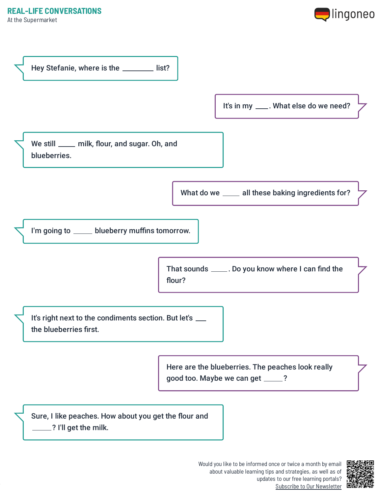At the Supermarket





Would you like to be informed once or twice a month by email about valuable learning tips and strategies, as well as of updates to our free learning portals? Subscribe to Our [Newsletter](https://www.lingoneo.org/learn-german?channel=emailcampaignnewsletter&tcontent=so-m-27&tsource=srt_source)